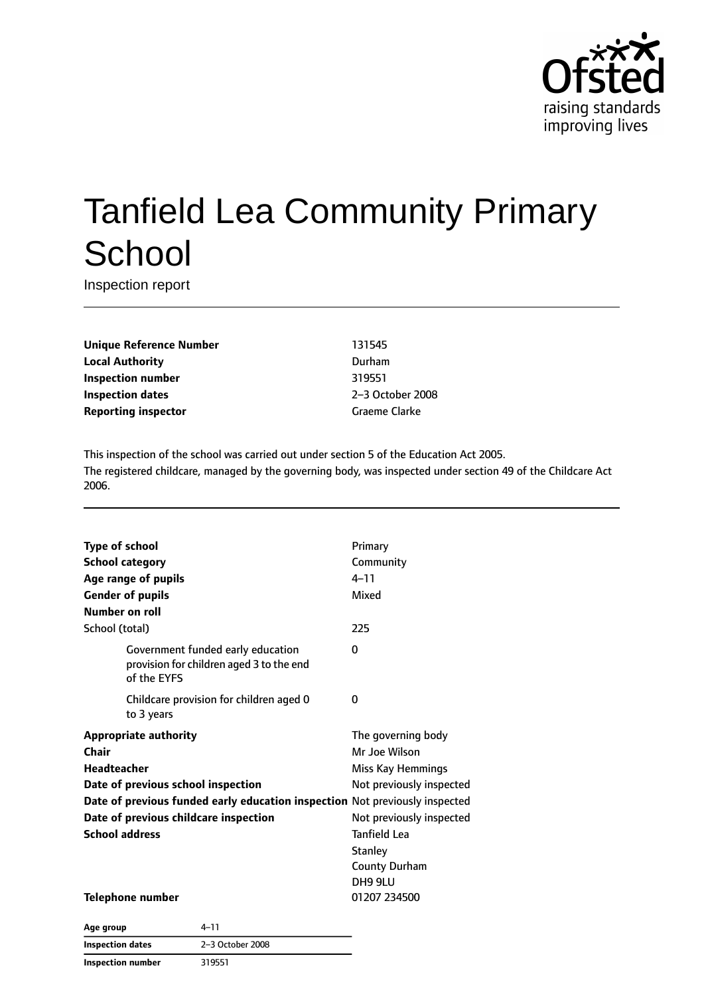

# Tanfield Lea Community Primary **School**

Inspection report

**Unique Reference Number** 131545 **Local Authority** Durham **Inspection number** 319551 **Inspection dates** 2–3 October 2008 **Reporting inspector** Graeme Clarke

This inspection of the school was carried out under section 5 of the Education Act 2005. The registered childcare, managed by the governing body, was inspected under section 49 of the Childcare Act 2006.

| <b>Type of school</b><br><b>School category</b><br>Age range of pupils<br><b>Gender of pupils</b><br><b>Number on roll</b> |                                                                                              | Primary<br>Community<br>$4 - 11$<br>Mixed |
|----------------------------------------------------------------------------------------------------------------------------|----------------------------------------------------------------------------------------------|-------------------------------------------|
| School (total)                                                                                                             |                                                                                              | 225                                       |
|                                                                                                                            | Government funded early education<br>provision for children aged 3 to the end<br>of the EYFS | 0                                         |
|                                                                                                                            | Childcare provision for children aged 0<br>to 3 years                                        | 0                                         |
| <b>Appropriate authority</b>                                                                                               |                                                                                              | The governing body                        |
| <b>Chair</b>                                                                                                               |                                                                                              | Mr Joe Wilson                             |
| <b>Headteacher</b>                                                                                                         |                                                                                              | Miss Kay Hemmings                         |
|                                                                                                                            | Date of previous school inspection                                                           | Not previously inspected                  |
|                                                                                                                            | Date of previous funded early education inspection Not previously inspected                  |                                           |
|                                                                                                                            | Date of previous childcare inspection                                                        | Not previously inspected                  |
| <b>School address</b>                                                                                                      |                                                                                              | <b>Tanfield Lea</b>                       |
|                                                                                                                            |                                                                                              | <b>Stanley</b>                            |
|                                                                                                                            |                                                                                              | <b>County Durham</b>                      |
|                                                                                                                            |                                                                                              | DH9 9LU                                   |
| <b>Telephone number</b>                                                                                                    |                                                                                              | 01207 234500                              |
|                                                                                                                            | $2 - 7$                                                                                      |                                           |

| Age group                | $4 - 11$         |
|--------------------------|------------------|
| Inspection dates         | 2-3 October 2008 |
| <b>Inspection number</b> | 319551           |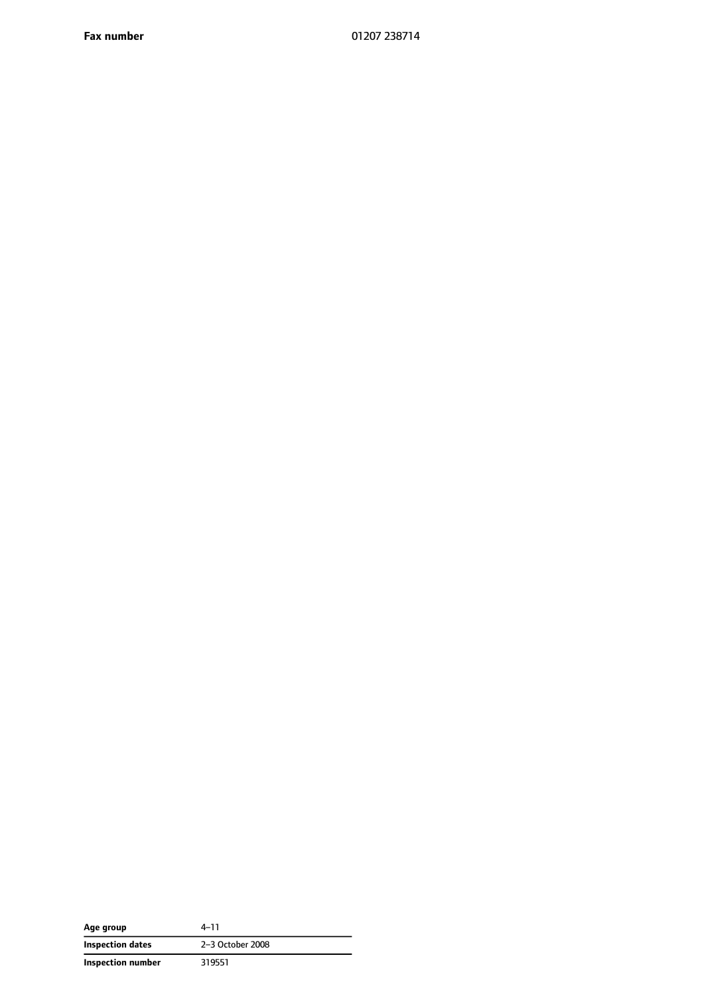**Fax number** 01207 238714

| Age group         | $4 - 11$         |
|-------------------|------------------|
| Inspection dates  | 2-3 October 2008 |
| Inspection number | 319551           |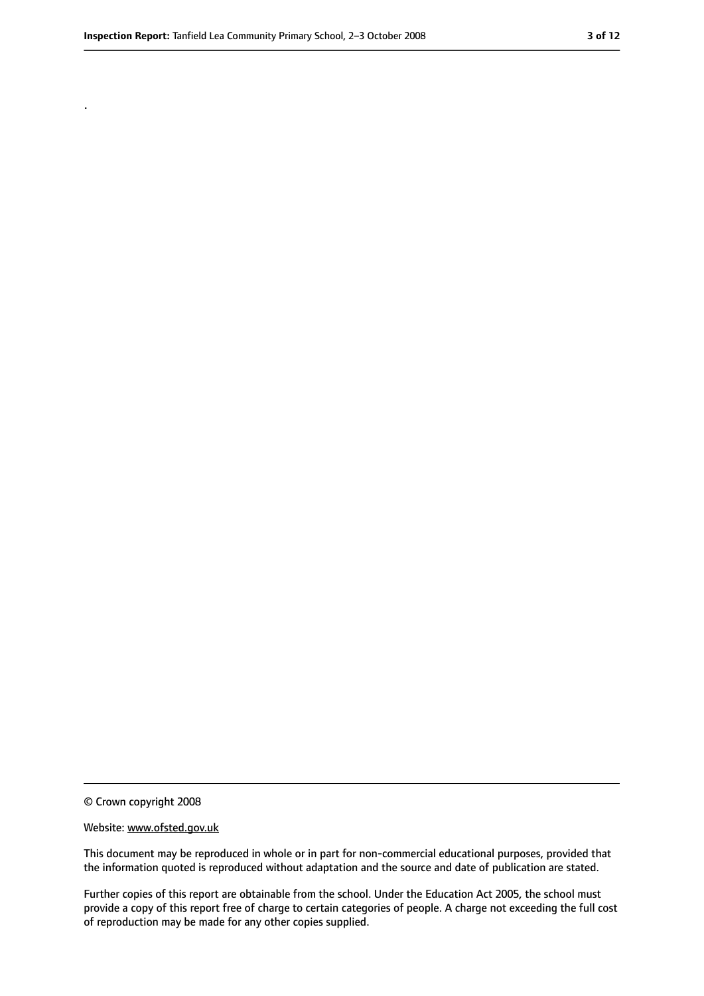.

<sup>©</sup> Crown copyright 2008

Website: www.ofsted.gov.uk

This document may be reproduced in whole or in part for non-commercial educational purposes, provided that the information quoted is reproduced without adaptation and the source and date of publication are stated.

Further copies of this report are obtainable from the school. Under the Education Act 2005, the school must provide a copy of this report free of charge to certain categories of people. A charge not exceeding the full cost of reproduction may be made for any other copies supplied.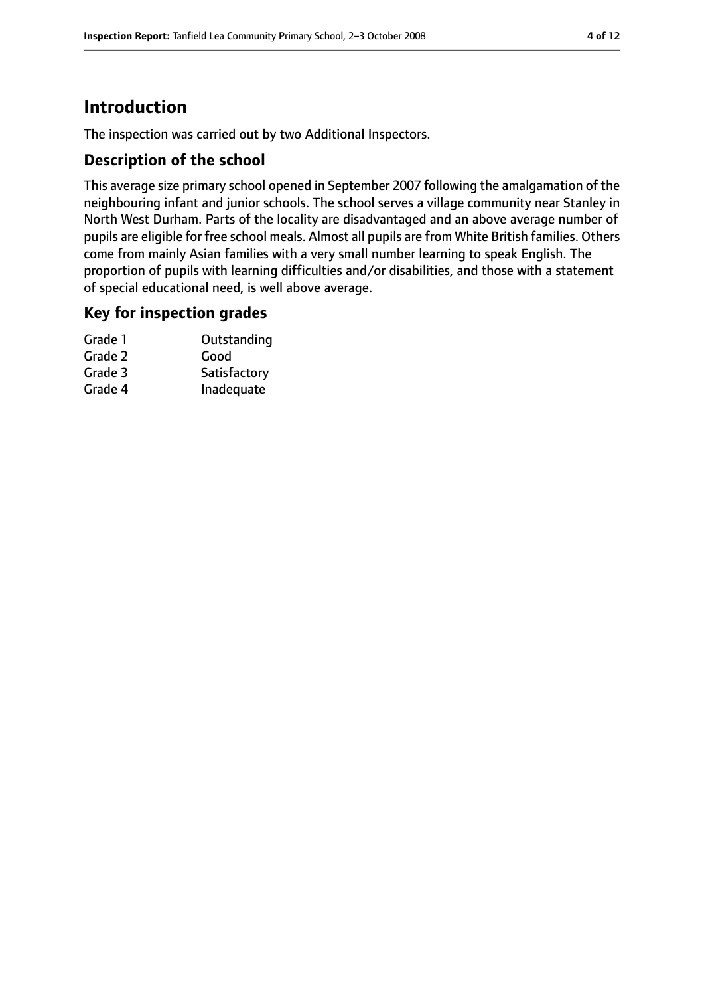# **Introduction**

The inspection was carried out by two Additional Inspectors.

## **Description of the school**

This average size primary school opened in September 2007 following the amalgamation of the neighbouring infant and junior schools. The school serves a village community near Stanley in North West Durham. Parts of the locality are disadvantaged and an above average number of pupils are eligible for free school meals. Almost all pupils are from White British families. Others come from mainly Asian families with a very small number learning to speak English. The proportion of pupils with learning difficulties and/or disabilities, and those with a statement of special educational need, is well above average.

#### **Key for inspection grades**

| Grade 1 | Outstanding  |
|---------|--------------|
| Grade 2 | Good         |
| Grade 3 | Satisfactory |
| Grade 4 | Inadequate   |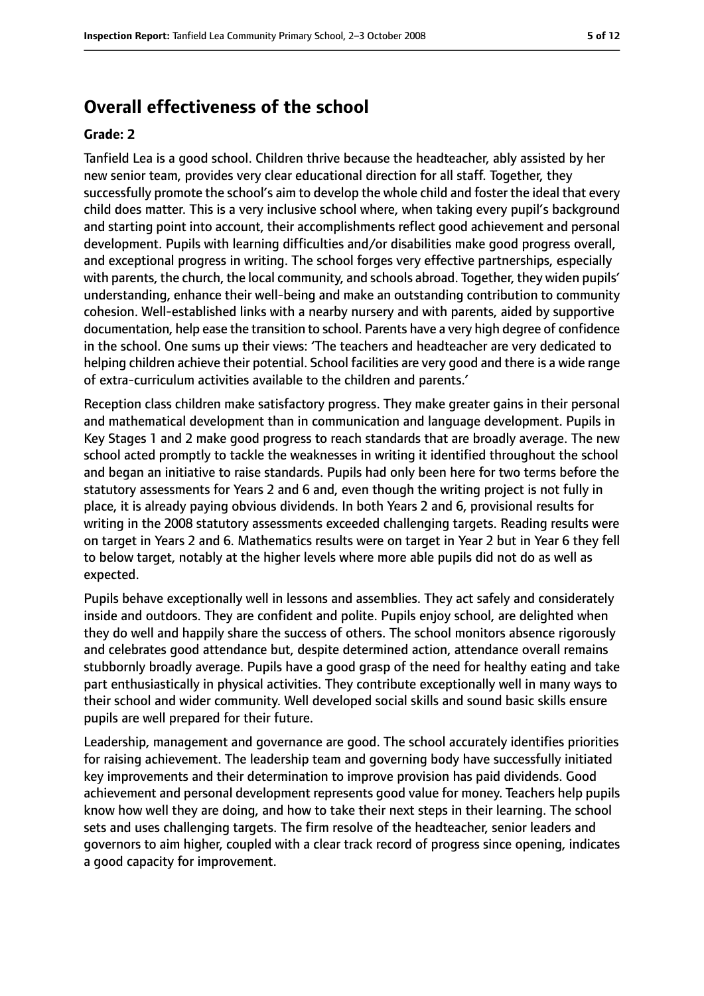## **Overall effectiveness of the school**

#### **Grade: 2**

Tanfield Lea is a good school. Children thrive because the headteacher, ably assisted by her new senior team, provides very clear educational direction for all staff. Together, they successfully promote the school's aim to develop the whole child and foster the ideal that every child does matter. This is a very inclusive school where, when taking every pupil's background and starting point into account, their accomplishments reflect good achievement and personal development. Pupils with learning difficulties and/or disabilities make good progress overall, and exceptional progress in writing. The school forges very effective partnerships, especially with parents, the church, the local community, and schools abroad. Together, they widen pupils' understanding, enhance their well-being and make an outstanding contribution to community cohesion. Well-established links with a nearby nursery and with parents, aided by supportive documentation, help ease the transition to school. Parents have a very high degree of confidence in the school. One sums up their views: 'The teachers and headteacher are very dedicated to helping children achieve their potential. School facilities are very good and there is a wide range of extra-curriculum activities available to the children and parents.'

Reception class children make satisfactory progress. They make greater gains in their personal and mathematical development than in communication and language development. Pupils in Key Stages 1 and 2 make good progress to reach standards that are broadly average. The new school acted promptly to tackle the weaknesses in writing it identified throughout the school and began an initiative to raise standards. Pupils had only been here for two terms before the statutory assessments for Years 2 and 6 and, even though the writing project is not fully in place, it is already paying obvious dividends. In both Years 2 and 6, provisional results for writing in the 2008 statutory assessments exceeded challenging targets. Reading results were on target in Years 2 and 6. Mathematics results were on target in Year 2 but in Year 6 they fell to below target, notably at the higher levels where more able pupils did not do as well as expected.

Pupils behave exceptionally well in lessons and assemblies. They act safely and considerately inside and outdoors. They are confident and polite. Pupils enjoy school, are delighted when they do well and happily share the success of others. The school monitors absence rigorously and celebrates good attendance but, despite determined action, attendance overall remains stubbornly broadly average. Pupils have a good grasp of the need for healthy eating and take part enthusiastically in physical activities. They contribute exceptionally well in many ways to their school and wider community. Well developed social skills and sound basic skills ensure pupils are well prepared for their future.

Leadership, management and governance are good. The school accurately identifies priorities for raising achievement. The leadership team and governing body have successfully initiated key improvements and their determination to improve provision has paid dividends. Good achievement and personal development represents good value for money. Teachers help pupils know how well they are doing, and how to take their next steps in their learning. The school sets and uses challenging targets. The firm resolve of the headteacher, senior leaders and governors to aim higher, coupled with a clear track record of progress since opening, indicates a good capacity for improvement.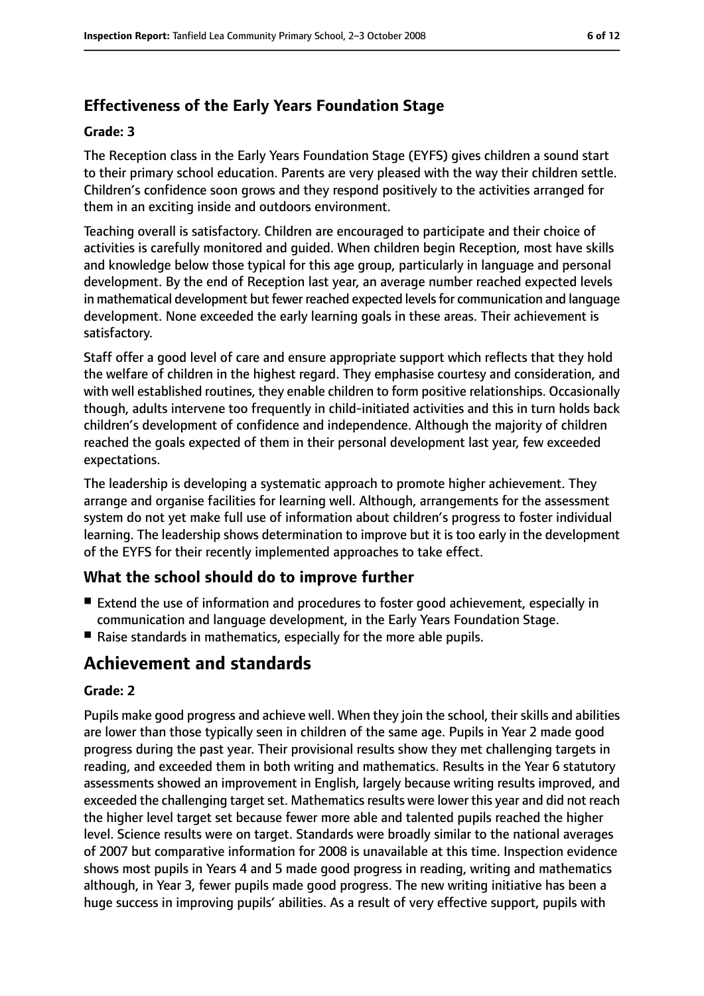## **Effectiveness of the Early Years Foundation Stage**

#### **Grade: 3**

The Reception class in the Early Years Foundation Stage (EYFS) gives children a sound start to their primary school education. Parents are very pleased with the way their children settle. Children's confidence soon grows and they respond positively to the activities arranged for them in an exciting inside and outdoors environment.

Teaching overall is satisfactory. Children are encouraged to participate and their choice of activities is carefully monitored and guided. When children begin Reception, most have skills and knowledge below those typical for this age group, particularly in language and personal development. By the end of Reception last year, an average number reached expected levels in mathematical development but fewer reached expected levels for communication and language development. None exceeded the early learning goals in these areas. Their achievement is satisfactory.

Staff offer a good level of care and ensure appropriate support which reflects that they hold the welfare of children in the highest regard. They emphasise courtesy and consideration, and with well established routines, they enable children to form positive relationships. Occasionally though, adults intervene too frequently in child-initiated activities and this in turn holds back children's development of confidence and independence. Although the majority of children reached the goals expected of them in their personal development last year, few exceeded expectations.

The leadership is developing a systematic approach to promote higher achievement. They arrange and organise facilities for learning well. Although, arrangements for the assessment system do not yet make full use of information about children's progress to foster individual learning. The leadership shows determination to improve but it is too early in the development of the EYFS for their recently implemented approaches to take effect.

## **What the school should do to improve further**

- Extend the use of information and procedures to foster good achievement, especially in communication and language development, in the Early Years Foundation Stage.
- Raise standards in mathematics, especially for the more able pupils.

# **Achievement and standards**

#### **Grade: 2**

Pupils make good progress and achieve well. When they join the school, their skills and abilities are lower than those typically seen in children of the same age. Pupils in Year 2 made good progress during the past year. Their provisional results show they met challenging targets in reading, and exceeded them in both writing and mathematics. Results in the Year 6 statutory assessments showed an improvement in English, largely because writing results improved, and exceeded the challenging target set. Mathematics results were lower this year and did not reach the higher level target set because fewer more able and talented pupils reached the higher level. Science results were on target. Standards were broadly similar to the national averages of 2007 but comparative information for 2008 is unavailable at this time. Inspection evidence shows most pupils in Years 4 and 5 made good progress in reading, writing and mathematics although, in Year 3, fewer pupils made good progress. The new writing initiative has been a huge success in improving pupils' abilities. As a result of very effective support, pupils with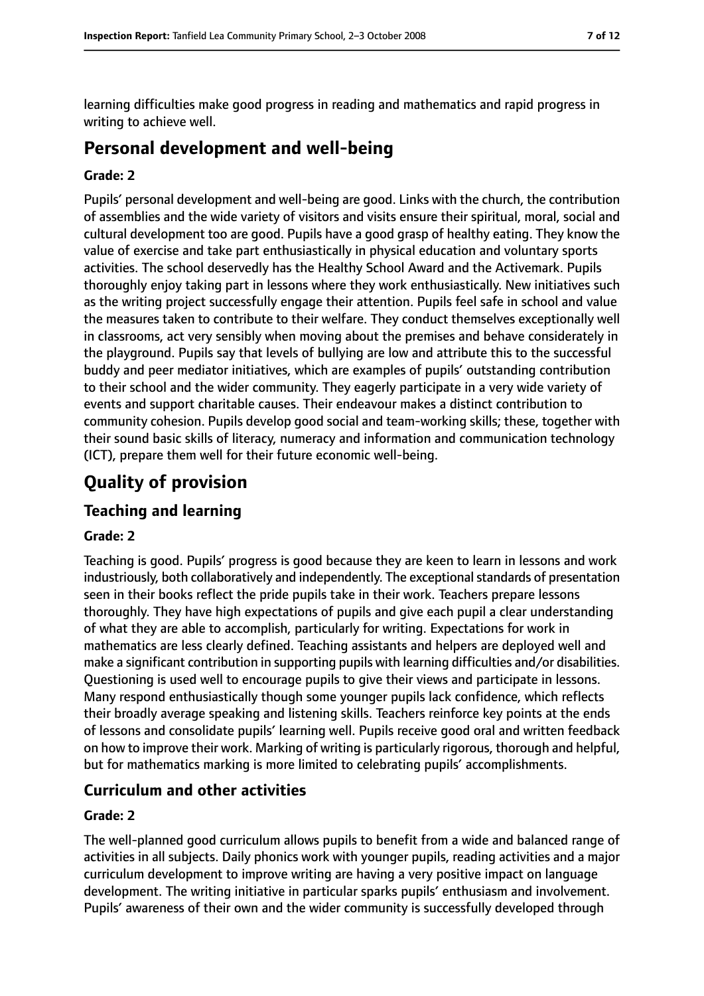learning difficulties make good progress in reading and mathematics and rapid progress in writing to achieve well.

# **Personal development and well-being**

#### **Grade: 2**

Pupils' personal development and well-being are good. Links with the church, the contribution of assemblies and the wide variety of visitors and visits ensure their spiritual, moral, social and cultural development too are good. Pupils have a good grasp of healthy eating. They know the value of exercise and take part enthusiastically in physical education and voluntary sports activities. The school deservedly has the Healthy School Award and the Activemark. Pupils thoroughly enjoy taking part in lessons where they work enthusiastically. New initiatives such as the writing project successfully engage their attention. Pupils feel safe in school and value the measures taken to contribute to their welfare. They conduct themselves exceptionally well in classrooms, act very sensibly when moving about the premises and behave considerately in the playground. Pupils say that levels of bullying are low and attribute this to the successful buddy and peer mediator initiatives, which are examples of pupils' outstanding contribution to their school and the wider community. They eagerly participate in a very wide variety of events and support charitable causes. Their endeavour makes a distinct contribution to community cohesion. Pupils develop good social and team-working skills; these, together with their sound basic skills of literacy, numeracy and information and communication technology (ICT), prepare them well for their future economic well-being.

# **Quality of provision**

## **Teaching and learning**

#### **Grade: 2**

Teaching is good. Pupils' progress is good because they are keen to learn in lessons and work industriously, both collaboratively and independently. The exceptional standards of presentation seen in their books reflect the pride pupils take in their work. Teachers prepare lessons thoroughly. They have high expectations of pupils and give each pupil a clear understanding of what they are able to accomplish, particularly for writing. Expectations for work in mathematics are less clearly defined. Teaching assistants and helpers are deployed well and make a significant contribution in supporting pupils with learning difficulties and/or disabilities. Questioning is used well to encourage pupils to give their views and participate in lessons. Many respond enthusiastically though some younger pupils lack confidence, which reflects their broadly average speaking and listening skills. Teachers reinforce key points at the ends of lessons and consolidate pupils' learning well. Pupils receive good oral and written feedback on how to improve their work. Marking of writing is particularly rigorous, thorough and helpful, but for mathematics marking is more limited to celebrating pupils' accomplishments.

## **Curriculum and other activities**

#### **Grade: 2**

The well-planned good curriculum allows pupils to benefit from a wide and balanced range of activities in all subjects. Daily phonics work with younger pupils, reading activities and a major curriculum development to improve writing are having a very positive impact on language development. The writing initiative in particular sparks pupils' enthusiasm and involvement. Pupils' awareness of their own and the wider community is successfully developed through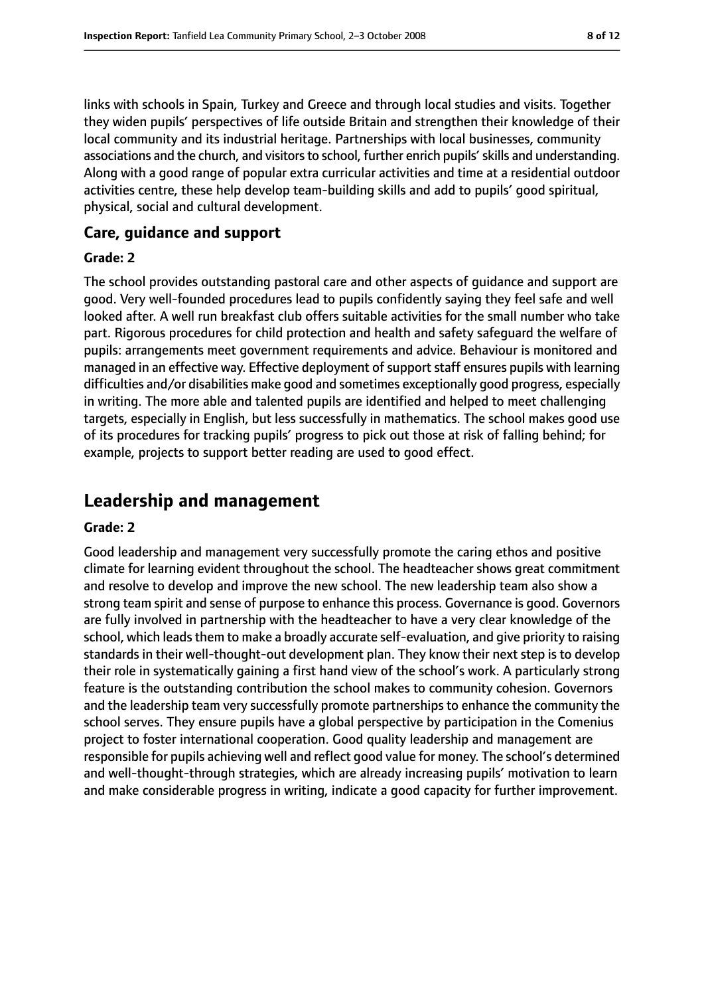links with schools in Spain, Turkey and Greece and through local studies and visits. Together they widen pupils' perspectives of life outside Britain and strengthen their knowledge of their local community and its industrial heritage. Partnerships with local businesses, community associations and the church, and visitors to school, further enrich pupils' skills and understanding. Along with a good range of popular extra curricular activities and time at a residential outdoor activities centre, these help develop team-building skills and add to pupils' good spiritual, physical, social and cultural development.

## **Care, guidance and support**

#### **Grade: 2**

The school provides outstanding pastoral care and other aspects of guidance and support are good. Very well-founded procedures lead to pupils confidently saying they feel safe and well looked after. A well run breakfast club offers suitable activities for the small number who take part. Rigorous procedures for child protection and health and safety safeguard the welfare of pupils: arrangements meet government requirements and advice. Behaviour is monitored and managed in an effective way. Effective deployment of support staff ensures pupils with learning difficulties and/or disabilities make good and sometimes exceptionally good progress, especially in writing. The more able and talented pupils are identified and helped to meet challenging targets, especially in English, but less successfully in mathematics. The school makes good use of its procedures for tracking pupils' progress to pick out those at risk of falling behind; for example, projects to support better reading are used to good effect.

# **Leadership and management**

#### **Grade: 2**

Good leadership and management very successfully promote the caring ethos and positive climate for learning evident throughout the school. The headteacher shows great commitment and resolve to develop and improve the new school. The new leadership team also show a strong team spirit and sense of purpose to enhance this process. Governance is good. Governors are fully involved in partnership with the headteacher to have a very clear knowledge of the school, which leads them to make a broadly accurate self-evaluation, and give priority to raising standards in their well-thought-out development plan. They know their next step is to develop their role in systematically gaining a first hand view of the school's work. A particularly strong feature is the outstanding contribution the school makes to community cohesion. Governors and the leadership team very successfully promote partnerships to enhance the community the school serves. They ensure pupils have a global perspective by participation in the Comenius project to foster international cooperation. Good quality leadership and management are responsible for pupils achieving well and reflect good value for money. The school's determined and well-thought-through strategies, which are already increasing pupils' motivation to learn and make considerable progress in writing, indicate a good capacity for further improvement.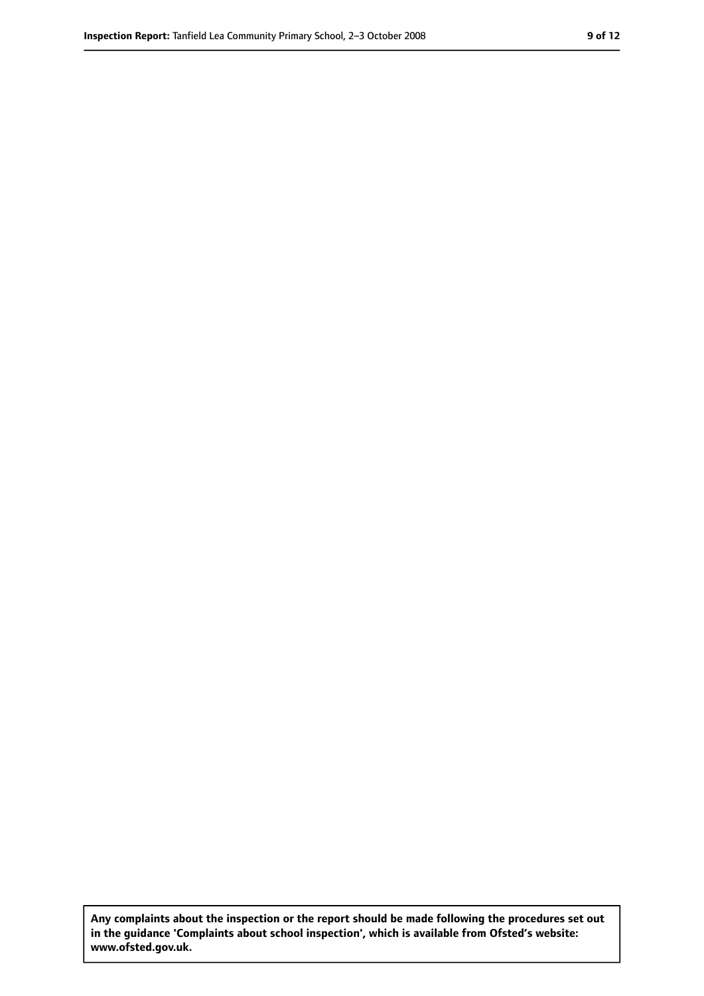**Any complaints about the inspection or the report should be made following the procedures set out in the guidance 'Complaints about school inspection', which is available from Ofsted's website: www.ofsted.gov.uk.**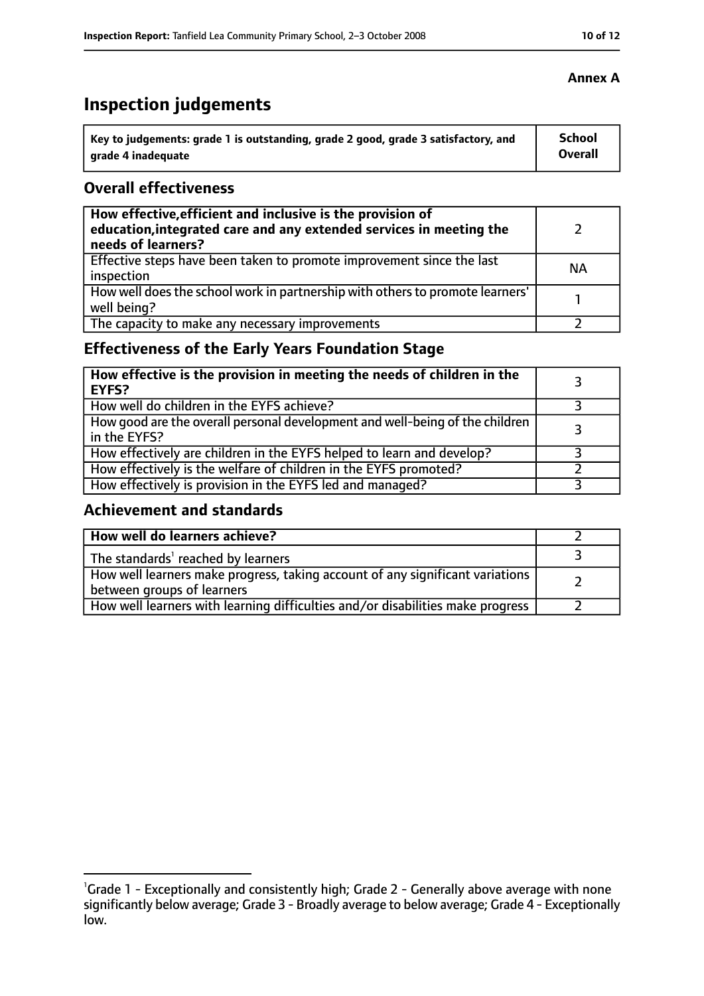# **Inspection judgements**

| Key to judgements: grade 1 is outstanding, grade 2 good, grade 3 satisfactory, and | <b>School</b> |
|------------------------------------------------------------------------------------|---------------|
| arade 4 inadequate                                                                 | Overall       |

## **Overall effectiveness**

| How effective, efficient and inclusive is the provision of<br>education, integrated care and any extended services in meeting the<br>needs of learners? |           |
|---------------------------------------------------------------------------------------------------------------------------------------------------------|-----------|
| Effective steps have been taken to promote improvement since the last<br>inspection                                                                     | <b>NA</b> |
| How well does the school work in partnership with others to promote learners'<br>well being?                                                            |           |
| The capacity to make any necessary improvements                                                                                                         |           |

## **Effectiveness of the Early Years Foundation Stage**

| How effective is the provision in meeting the needs of children in the<br><b>EYFS?</b>       |  |
|----------------------------------------------------------------------------------------------|--|
| How well do children in the EYFS achieve?                                                    |  |
| How good are the overall personal development and well-being of the children<br>in the EYFS? |  |
| How effectively are children in the EYFS helped to learn and develop?                        |  |
| How effectively is the welfare of children in the EYFS promoted?                             |  |
| How effectively is provision in the EYFS led and managed?                                    |  |

## **Achievement and standards**

| How well do learners achieve?                                                                               |  |
|-------------------------------------------------------------------------------------------------------------|--|
| The standards <sup>1</sup> reached by learners                                                              |  |
| How well learners make progress, taking account of any significant variations<br>between groups of learners |  |
| How well learners with learning difficulties and/or disabilities make progress                              |  |

## **Annex A**

<sup>&</sup>lt;sup>1</sup>Grade 1 - Exceptionally and consistently high; Grade 2 - Generally above average with none significantly below average; Grade 3 - Broadly average to below average; Grade 4 - Exceptionally low.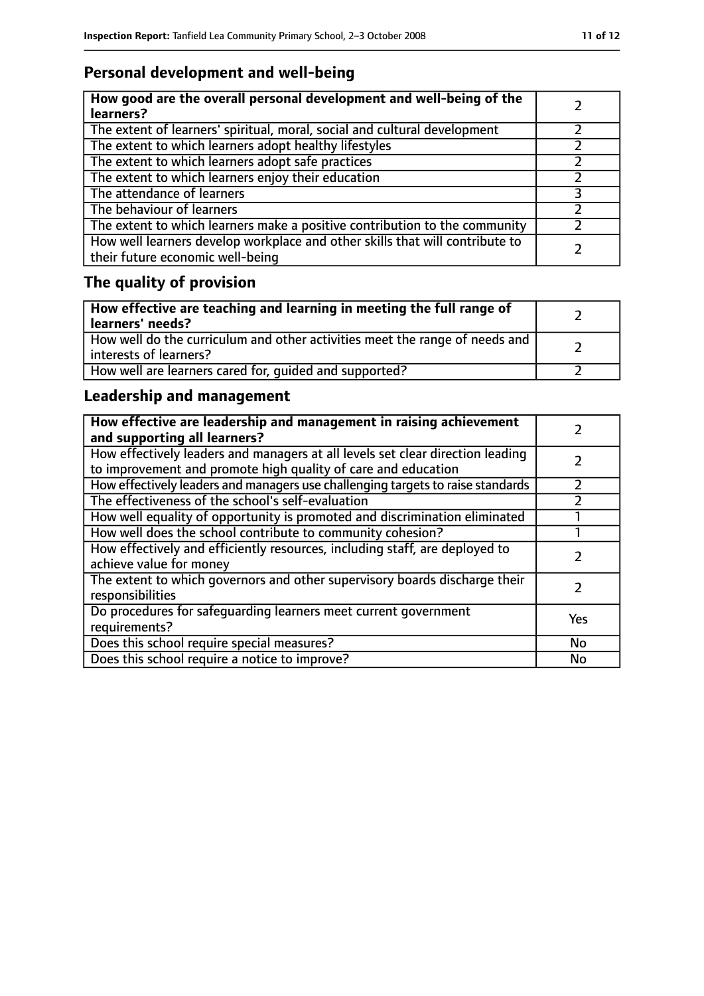# **Personal development and well-being**

| How good are the overall personal development and well-being of the<br>learners?                                 |  |
|------------------------------------------------------------------------------------------------------------------|--|
| The extent of learners' spiritual, moral, social and cultural development                                        |  |
| The extent to which learners adopt healthy lifestyles                                                            |  |
| The extent to which learners adopt safe practices                                                                |  |
| The extent to which learners enjoy their education                                                               |  |
| The attendance of learners                                                                                       |  |
| The behaviour of learners                                                                                        |  |
| The extent to which learners make a positive contribution to the community                                       |  |
| How well learners develop workplace and other skills that will contribute to<br>their future economic well-being |  |

# **The quality of provision**

| How effective are teaching and learning in meeting the full range of<br>learners' needs?              |  |
|-------------------------------------------------------------------------------------------------------|--|
| How well do the curriculum and other activities meet the range of needs and<br>interests of learners? |  |
| How well are learners cared for, quided and supported?                                                |  |

## **Leadership and management**

| How effective are leadership and management in raising achievement<br>and supporting all learners?                                              |     |
|-------------------------------------------------------------------------------------------------------------------------------------------------|-----|
| How effectively leaders and managers at all levels set clear direction leading<br>to improvement and promote high quality of care and education |     |
| How effectively leaders and managers use challenging targets to raise standards                                                                 |     |
| The effectiveness of the school's self-evaluation                                                                                               |     |
| How well equality of opportunity is promoted and discrimination eliminated                                                                      |     |
| How well does the school contribute to community cohesion?                                                                                      |     |
| How effectively and efficiently resources, including staff, are deployed to<br>achieve value for money                                          |     |
| The extent to which governors and other supervisory boards discharge their<br>responsibilities                                                  |     |
| Do procedures for safequarding learners meet current government<br>requirements?                                                                | Yes |
| Does this school require special measures?                                                                                                      | No  |
| Does this school require a notice to improve?                                                                                                   | No  |